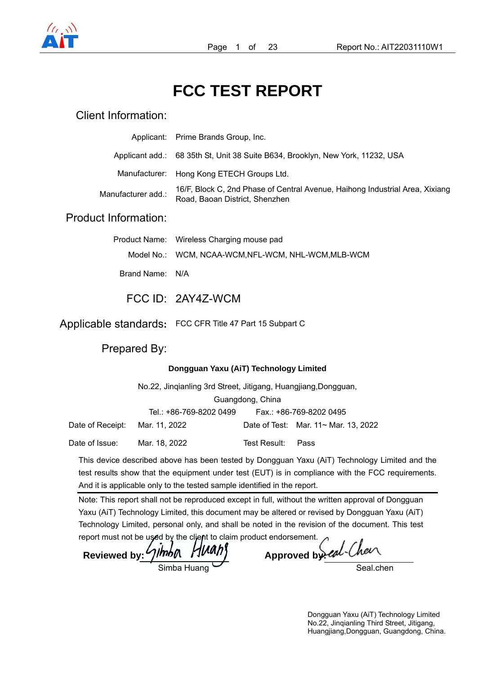

# **FCC TEST REPORT**

## Client Information:

**Product** 

|                    | Applicant: Prime Brands Group, Inc.                                                                            |
|--------------------|----------------------------------------------------------------------------------------------------------------|
|                    | Applicant add.: 68 35th St, Unit 38 Suite B634, Brooklyn, New York, 11232, USA                                 |
|                    | Manufacturer: Hong Kong ETECH Groups Ltd.                                                                      |
| Manufacturer add.: | 16/F, Block C, 2nd Phase of Central Avenue, Haihong Industrial Area, Xixiang<br>Road, Baoan District, Shenzhen |
| oduct Information: |                                                                                                                |
|                    |                                                                                                                |

|                 | Product Name: Wireless Charging mouse pad           |
|-----------------|-----------------------------------------------------|
|                 | Model No.: WCM, NCAA-WCM, NFL-WCM, NHL-WCM, MLB-WCM |
| Brand Name: N/A |                                                     |
|                 | FCC ID: 2AY4Z-WCM                                   |

Applicable standards**:** FCC CFR Title 47 Part 15 Subpart C

Prepared By:

#### **Dongguan Yaxu (AiT) Technology Limited**

|                  | No.22, Jingianling 3rd Street, Jitigang, Huangjiang, Dongguan, |              |                                            |  |  |  |
|------------------|----------------------------------------------------------------|--------------|--------------------------------------------|--|--|--|
|                  | Guangdong, China                                               |              |                                            |  |  |  |
|                  | Tel.: +86-769-8202 0499                                        |              | Fax.: +86-769-8202 0495                    |  |  |  |
| Date of Receipt: | Mar. 11, 2022                                                  |              | Date of Test: Mar. $11 \sim$ Mar. 13, 2022 |  |  |  |
| Date of Issue:   | Mar. 18, 2022                                                  | Test Result: | Pass                                       |  |  |  |

This device described above has been tested by Dongguan Yaxu (AiT) Technology Limited and the test results show that the equipment under test (EUT) is in compliance with the FCC requirements. And it is applicable only to the tested sample identified in the report.

Note: This report shall not be reproduced except in full, without the written approval of Dongguan Yaxu (AiT) Technology Limited, this document may be altered or revised by Dongguan Yaxu (AiT) Technology Limited, personal only, and shall be noted in the revision of the document. This test

report must not be used by the client to claim product endorsement.<br>Reviewed by: *Jimbn HUAh*} Approved by eal-Chen Reviewed by: 4thba Huang

Seal chen

Dongguan Yaxu (AiT) Technology Limited No.22, Jinqianling Third Street, Jitigang, Huangjiang,Dongguan, Guangdong, China.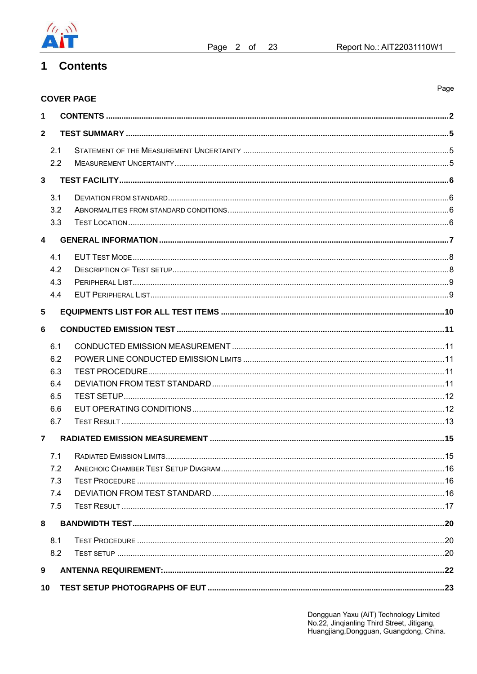

Page

#### **Contents**  $\mathbf 1$

|                         | <b>COVER PAGE</b> |  |
|-------------------------|-------------------|--|
| 1                       |                   |  |
| $\overline{2}$          |                   |  |
| 2.1                     |                   |  |
| 2.2                     |                   |  |
| $\overline{3}$          |                   |  |
| 3.1                     |                   |  |
| 3.2                     |                   |  |
| 3.3                     |                   |  |
| $\overline{\mathbf{4}}$ |                   |  |
| 4.1                     |                   |  |
| 4.2                     |                   |  |
| 4.3                     |                   |  |
| 4.4                     |                   |  |
| $5\phantom{1}$          |                   |  |
| $6\phantom{1}6$         |                   |  |
| 6.1                     |                   |  |
| 6.2                     |                   |  |
| 6.3                     |                   |  |
| 6.4                     |                   |  |
| 6.5                     |                   |  |
| 6.6                     |                   |  |
| 6.7                     |                   |  |
| $\overline{7}$          |                   |  |
|                         |                   |  |
| 7.2                     |                   |  |
| 7.3                     |                   |  |
| 7.4                     |                   |  |
| 7.5                     |                   |  |
| 8                       |                   |  |
| 8.1                     |                   |  |
| 8.2                     |                   |  |
| 9                       |                   |  |
| 10                      |                   |  |

Dongguan Yaxu (AiT) Technology Limited<br>No.22, Jinqianling Third Street, Jitigang,<br>Huangjiang,Dongguan, Guangdong, China.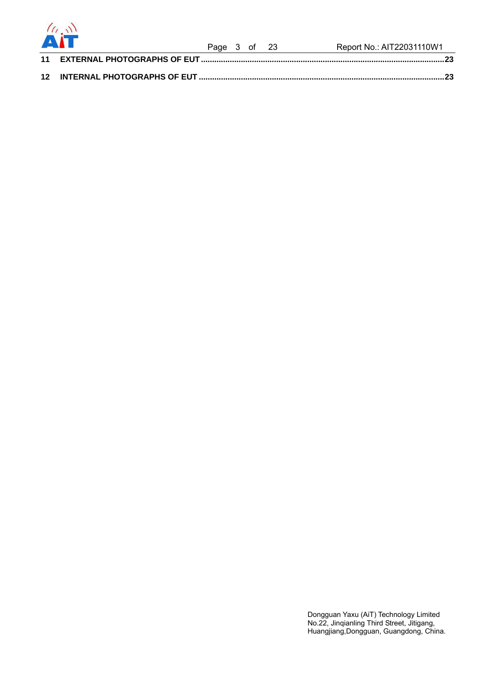

| <b>ALL SECTION OF PERSONAL PROPERTY</b> |  |  | Report No.: AIT22031110W1 |
|-----------------------------------------|--|--|---------------------------|
|                                         |  |  |                           |
|                                         |  |  |                           |
|                                         |  |  | Page 3 of 23              |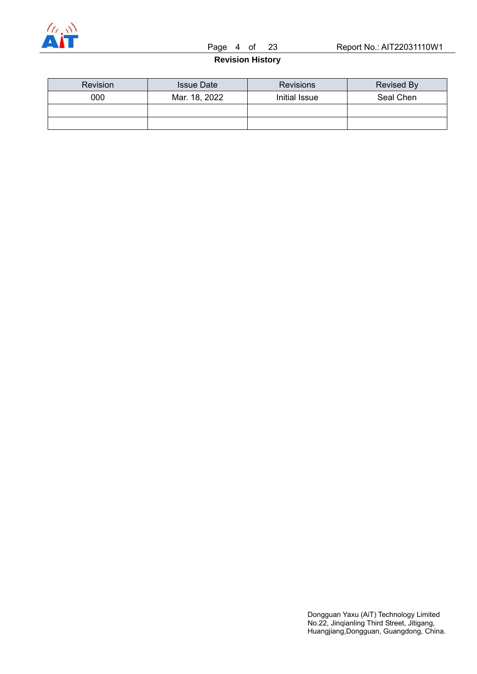

#### **Revision History**

| <b>Revision</b> | <b>Issue Date</b> | <b>Revisions</b> | Revised By |
|-----------------|-------------------|------------------|------------|
| 000             | Mar. 18, 2022     | Initial Issue    | Seal Chen  |
|                 |                   |                  |            |
|                 |                   |                  |            |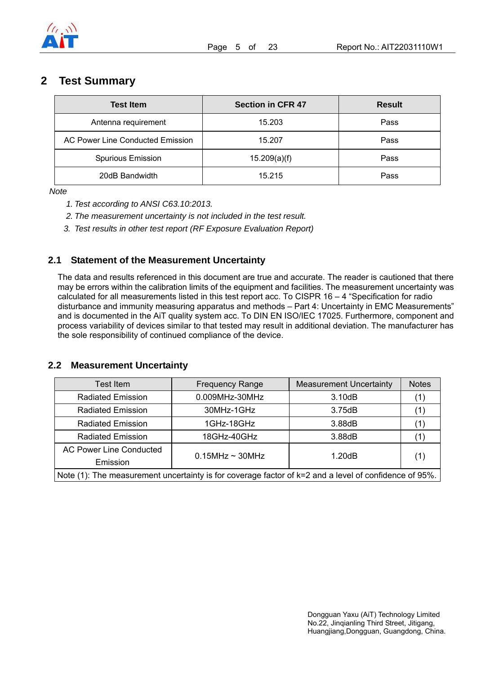

## **2 Test Summary**

| <b>Test Item</b>                 | <b>Section in CFR 47</b> | <b>Result</b> |
|----------------------------------|--------------------------|---------------|
| Antenna requirement              | 15.203                   | Pass          |
| AC Power Line Conducted Emission | 15.207                   | Pass          |
| <b>Spurious Emission</b>         | 15.209(a)(f)             | Pass          |
| 20dB Bandwidth                   | 15.215                   | Pass          |

*Note* 

- *1. Test according to ANSI C63.10:2013.*
- *2. The measurement uncertainty is not included in the test result.*
- *3. Test results in other test report (RF Exposure Evaluation Report)*

#### **2.1 Statement of the Measurement Uncertainty**

The data and results referenced in this document are true and accurate. The reader is cautioned that there may be errors within the calibration limits of the equipment and facilities. The measurement uncertainty was calculated for all measurements listed in this test report acc. To CISPR 16 – 4 "Specification for radio disturbance and immunity measuring apparatus and methods – Part 4: Uncertainty in EMC Measurements" and is documented in the AiT quality system acc. To DIN EN ISO/IEC 17025. Furthermore, component and process variability of devices similar to that tested may result in additional deviation. The manufacturer has the sole responsibility of continued compliance of the device.

#### **2.2 Measurement Uncertainty**

| <b>Test Item</b>                                                                                           | <b>Frequency Range</b> | <b>Measurement Uncertainty</b> | <b>Notes</b> |  |
|------------------------------------------------------------------------------------------------------------|------------------------|--------------------------------|--------------|--|
| <b>Radiated Emission</b>                                                                                   | 0.009MHz-30MHz         | 3.10dB                         |              |  |
| <b>Radiated Emission</b>                                                                                   | 30MHz-1GHz             | 3.75dB                         |              |  |
| <b>Radiated Emission</b>                                                                                   | 1GHz-18GHz             | 3.88dB                         |              |  |
| <b>Radiated Emission</b>                                                                                   | 18GHz-40GHz            | 3.88dB                         |              |  |
| <b>AC Power Line Conducted</b>                                                                             | $0.15$ MHz ~ 30MHz     | 1.20dB                         |              |  |
| Emission                                                                                                   |                        |                                | (1)          |  |
| Note $(1)$ : The measurement uncertainty is for coverage factor of $k=2$ and a level of confidence of 95%. |                        |                                |              |  |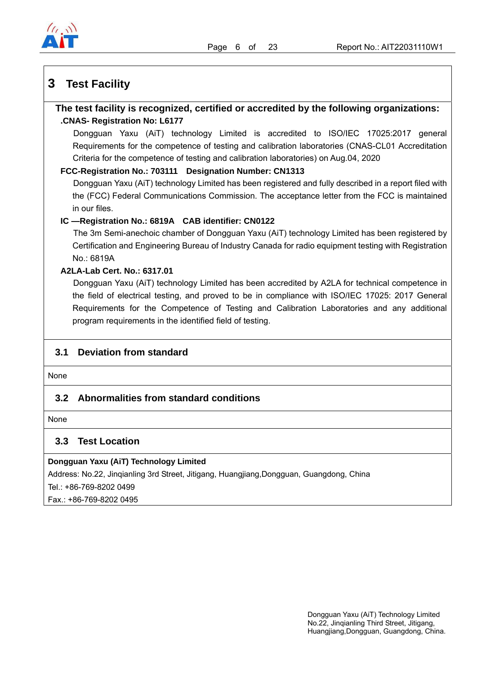

## **3 Test Facility**

### **The test facility is recognized, certified or accredited by the following organizations: .CNAS- Registration No: L6177**

Dongguan Yaxu (AiT) technology Limited is accredited to ISO/IEC 17025:2017 general Requirements for the competence of testing and calibration laboratories (CNAS-CL01 Accreditation Criteria for the competence of testing and calibration laboratories) on Aug.04, 2020

#### **FCC-Registration No.: 703111 Designation Number: CN1313**

Dongguan Yaxu (AiT) technology Limited has been registered and fully described in a report filed with the (FCC) Federal Communications Commission. The acceptance letter from the FCC is maintained in our files.

#### **IC —Registration No.: 6819A CAB identifier: CN0122**

The 3m Semi-anechoic chamber of Dongguan Yaxu (AiT) technology Limited has been registered by Certification and Engineering Bureau of Industry Canada for radio equipment testing with Registration No.: 6819A

#### **A2LA-Lab Cert. No.: 6317.01**

Dongguan Yaxu (AiT) technology Limited has been accredited by A2LA for technical competence in the field of electrical testing, and proved to be in compliance with ISO/IEC 17025: 2017 General Requirements for the Competence of Testing and Calibration Laboratories and any additional program requirements in the identified field of testing.

### **3.1 Deviation from standard**

None

### **3.2 Abnormalities from standard conditions**

None

### **3.3 Test Location**

#### **Dongguan Yaxu (AiT) Technology Limited**

Address: No.22, Jinqianling 3rd Street, Jitigang, Huangjiang,Dongguan, Guangdong, China

Tel.: +86-769-8202 0499

Fax.: +86-769-8202 0495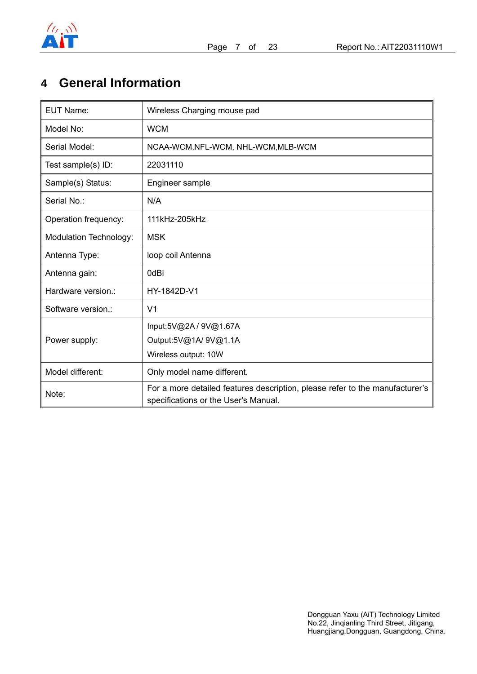

## **4 General Information**

| <b>EUT Name:</b>       | Wireless Charging mouse pad                                                                                          |
|------------------------|----------------------------------------------------------------------------------------------------------------------|
| Model No:              | <b>WCM</b>                                                                                                           |
| Serial Model:          | NCAA-WCM, NFL-WCM, NHL-WCM, MLB-WCM                                                                                  |
| Test sample(s) ID:     | 22031110                                                                                                             |
| Sample(s) Status:      | Engineer sample                                                                                                      |
| Serial No.:            | N/A                                                                                                                  |
| Operation frequency:   | 111kHz-205kHz                                                                                                        |
| Modulation Technology: | <b>MSK</b>                                                                                                           |
| Antenna Type:          | loop coil Antenna                                                                                                    |
| Antenna gain:          | 0dBi                                                                                                                 |
| Hardware version.:     | HY-1842D-V1                                                                                                          |
| Software version.:     | V <sub>1</sub>                                                                                                       |
|                        | Input:5V@2A / 9V@1.67A                                                                                               |
| Power supply:          | Output:5V@1A/ 9V@1.1A                                                                                                |
|                        | Wireless output: 10W                                                                                                 |
| Model different:       | Only model name different.                                                                                           |
| Note:                  | For a more detailed features description, please refer to the manufacturer's<br>specifications or the User's Manual. |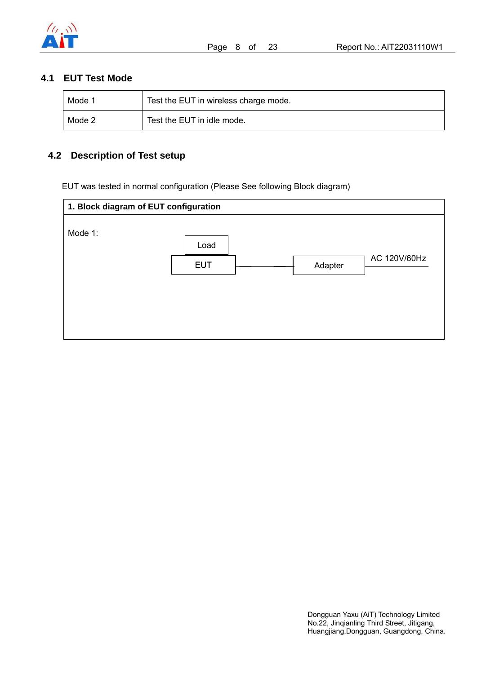

## **4.1 EUT Test Mode**

| Mode 1 | Test the EUT in wireless charge mode. |
|--------|---------------------------------------|
| Mode 2 | Test the EUT in idle mode.            |

## **4.2 Description of Test setup**

EUT was tested in normal configuration (Please See following Block diagram)

| 1. Block diagram of EUT configuration |            |         |              |  |  |
|---------------------------------------|------------|---------|--------------|--|--|
| Mode 1:                               |            |         |              |  |  |
|                                       | Load       |         |              |  |  |
|                                       | <b>EUT</b> | Adapter | AC 120V/60Hz |  |  |
|                                       |            |         |              |  |  |
|                                       |            |         |              |  |  |
|                                       |            |         |              |  |  |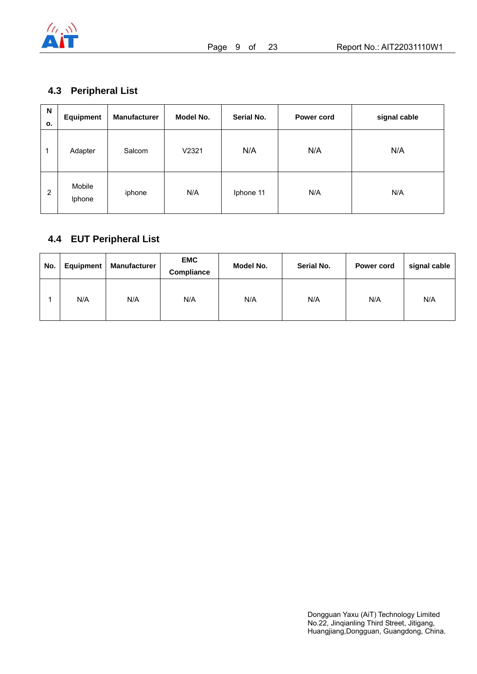

## **4.3 Peripheral List**

| N<br>о.        | <b>Equipment</b> | <b>Manufacturer</b> | Model No. | Serial No. | Power cord | signal cable |
|----------------|------------------|---------------------|-----------|------------|------------|--------------|
| 1              | Adapter          | Salcom              | V2321     | N/A        | N/A        | N/A          |
| $\overline{2}$ | Mobile<br>Iphone | iphone              | N/A       | Iphone 11  | N/A        | N/A          |

## **4.4 EUT Peripheral List**

| No. | Equipment | Manufacturer | <b>EMC</b><br>Compliance | Model No. | Serial No. | Power cord | signal cable |
|-----|-----------|--------------|--------------------------|-----------|------------|------------|--------------|
|     | N/A       | N/A          | N/A                      | N/A       | N/A        | N/A        | N/A          |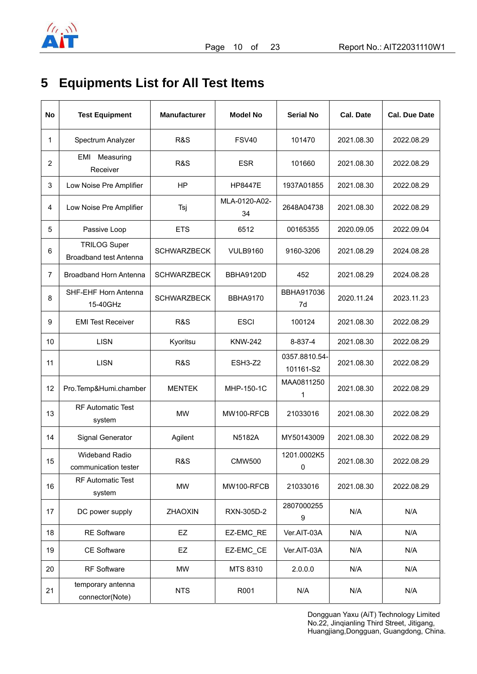

## **5 Equipments List for All Test Items**

| No             | <b>Test Equipment</b>                                | <b>Manufacturer</b> | <b>Model No</b>     | <b>Serial No</b>           | <b>Cal. Date</b> | <b>Cal. Due Date</b> |
|----------------|------------------------------------------------------|---------------------|---------------------|----------------------------|------------------|----------------------|
| 1              | Spectrum Analyzer                                    | <b>R&amp;S</b>      | <b>FSV40</b>        | 101470                     | 2021.08.30       | 2022.08.29           |
| $\overline{c}$ | EMI Measuring<br>Receiver                            | R&S                 | <b>ESR</b>          | 101660                     | 2021.08.30       | 2022.08.29           |
| 3              | Low Noise Pre Amplifier                              | HP                  | <b>HP8447E</b>      | 1937A01855                 | 2021.08.30       | 2022.08.29           |
| 4              | Low Noise Pre Amplifier                              | Tsj                 | MLA-0120-A02-<br>34 | 2648A04738                 | 2021.08.30       | 2022.08.29           |
| 5              | Passive Loop                                         | <b>ETS</b>          | 6512                | 00165355                   | 2020.09.05       | 2022.09.04           |
| 6              | <b>TRILOG Super</b><br><b>Broadband test Antenna</b> | <b>SCHWARZBECK</b>  | <b>VULB9160</b>     | 9160-3206                  | 2021.08.29       | 2024.08.28           |
| $\overline{7}$ | Broadband Horn Antenna                               | <b>SCHWARZBECK</b>  | BBHA9120D           | 452                        | 2021.08.29       | 2024.08.28           |
| 8              | SHF-EHF Horn Antenna<br>15-40GHz                     | <b>SCHWARZBECK</b>  | <b>BBHA9170</b>     | BBHA917036<br>7d           | 2020.11.24       | 2023.11.23           |
| 9              | <b>EMI Test Receiver</b>                             | <b>R&amp;S</b>      | <b>ESCI</b>         | 100124                     | 2021.08.30       | 2022.08.29           |
| 10             | <b>LISN</b>                                          | Kyoritsu            | <b>KNW-242</b>      | 8-837-4                    | 2021.08.30       | 2022.08.29           |
| 11             | <b>LISN</b>                                          | <b>R&amp;S</b>      | ESH3-Z2             | 0357.8810.54-<br>101161-S2 | 2021.08.30       | 2022.08.29           |
| 12             | Pro.Temp&Humi.chamber                                | <b>MENTEK</b>       | MHP-150-1C          | MAA0811250<br>1            | 2021.08.30       | 2022.08.29           |
| 13             | <b>RF Automatic Test</b><br>system                   | MW                  | MW100-RFCB          | 21033016                   | 2021.08.30       | 2022.08.29           |
| 14             | Signal Generator                                     | Agilent             | N5182A              | MY50143009                 | 2021.08.30       | 2022.08.29           |
| 15             | <b>Wideband Radio</b><br>communication tester        | R&S                 | <b>CMW500</b>       | 1201.0002K5<br>$\mathsf 0$ | 2021.08.30       | 2022.08.29           |
| 16             | <b>RF Automatic Test</b><br>system                   | <b>MW</b>           | MW100-RFCB          | 21033016                   | 2021.08.30       | 2022.08.29           |
| 17             | DC power supply                                      | ZHAOXIN             | RXN-305D-2          | 2807000255<br>9            | N/A              | N/A                  |
| 18             | <b>RE Software</b>                                   | EZ                  | EZ-EMC_RE           | Ver.AIT-03A                | N/A              | N/A                  |
| 19             | <b>CE Software</b>                                   | EZ                  | EZ-EMC_CE           | Ver.AIT-03A                | N/A              | N/A                  |
| 20             | RF Software                                          | MW                  | MTS 8310            | 2.0.0.0                    | N/A              | N/A                  |
| 21             | temporary antenna<br>connector(Note)                 | <b>NTS</b>          | R001                | N/A                        | N/A              | N/A                  |

Dongguan Yaxu (AiT) Technology Limited No.22, Jinqianling Third Street, Jitigang, Huangjiang,Dongguan, Guangdong, China.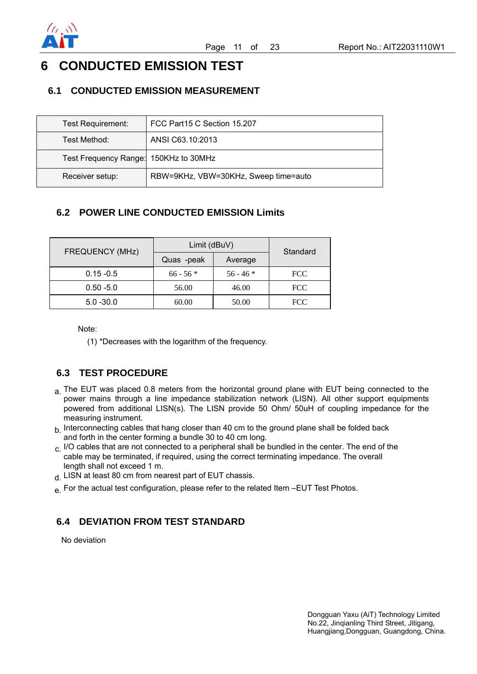

## **6 CONDUCTED EMISSION TEST**

### **6.1 CONDUCTED EMISSION MEASUREMENT**

| Test Requirement:                     | FCC Part15 C Section 15.207          |
|---------------------------------------|--------------------------------------|
| Test Method:                          | ANSI C63.10:2013                     |
| Test Frequency Range: 150KHz to 30MHz |                                      |
| Receiver setup:                       | RBW=9KHz, VBW=30KHz, Sweep time=auto |

## **6.2 POWER LINE CONDUCTED EMISSION Limits**

| <b>FREQUENCY (MHz)</b> | Limit (dBuV) | Standard    |            |
|------------------------|--------------|-------------|------------|
|                        | Quas -peak   | Average     |            |
| $0.15 - 0.5$           | $66 - 56$ *  | $56 - 46$ * | <b>FCC</b> |
| $0.50 - 5.0$           | 56.00        | 46.00       | <b>FCC</b> |
| $5.0 - 30.0$           | 60.00        | 50.00       | <b>FCC</b> |

Note:

(1) \*Decreases with the logarithm of the frequency.

## **6.3 TEST PROCEDURE**

- a. The EUT was placed 0.8 meters from the horizontal ground plane with EUT being connected to the power mains through a line impedance stabilization network (LISN). All other support equipments powered from additional LISN(s). The LISN provide 50 Ohm/ 50uH of coupling impedance for the measuring instrument.
- $h$  Interconnecting cables that hang closer than 40 cm to the ground plane shall be folded back and forth in the center forming a bundle 30 to 40 cm long.
- $c.$  I/O cables that are not connected to a peripheral shall be bundled in the center. The end of the cable may be terminated, if required, using the correct terminating impedance. The overall length shall not exceed 1 m.
- d. LISN at least 80 cm from nearest part of EUT chassis.
- e. For the actual test configuration, please refer to the related Item –EUT Test Photos.

### **6.4 DEVIATION FROM TEST STANDARD**

No deviation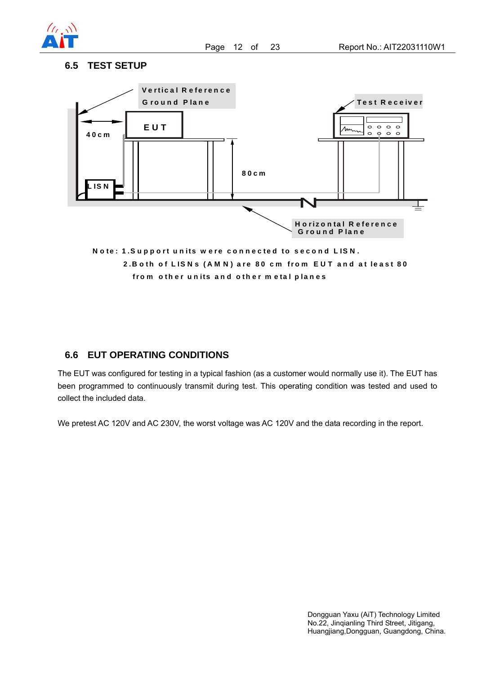

#### **6.5 TEST SETUP**



### **6.6 EUT OPERATING CONDITIONS**

The EUT was configured for testing in a typical fashion (as a customer would normally use it). The EUT has been programmed to continuously transmit during test. This operating condition was tested and used to collect the included data.

We pretest AC 120V and AC 230V, the worst voltage was AC 120V and the data recording in the report.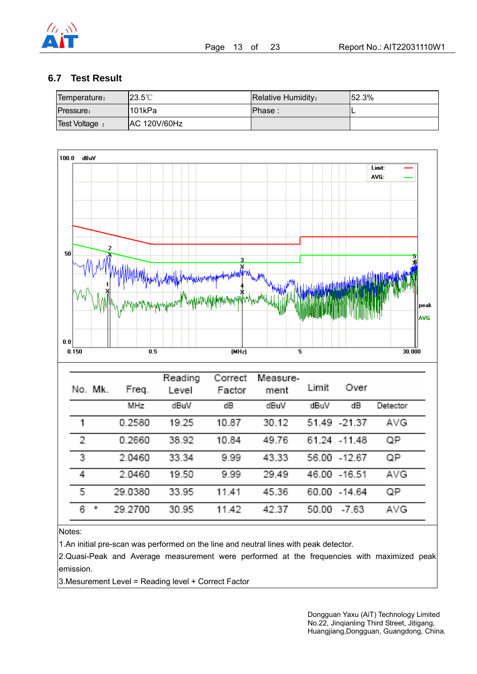

### **6.7 Test Result**

| Temperature:     | $123.5^{\circ}$ C | <b>Relative Humidity:</b> | 152.3% |
|------------------|-------------------|---------------------------|--------|
| <b>Pressure:</b> | '101kPa           | IPhase :                  |        |
| Test Voltage :   | AC 120V/60Hz      |                           |        |



| No. Mk.  | Freq.      | Reading<br>Level | Correct<br>Factor | Measure-<br>ment | Limit | Over          |            |
|----------|------------|------------------|-------------------|------------------|-------|---------------|------------|
|          | <b>MHz</b> | dBuV             | dB                | dBuV             | dBuM  | dB            | Detector   |
| 1        | 0.2580     | 19.25            | 10.87             | 30.12            |       | 51.49 - 21.37 | AVG.       |
| 2        | 0.2660     | 38.92            | 10.84             | 49.76            |       | 61.24 - 11.48 | ΩP         |
| 3        | 2.0460     | 33.34            | 9.99              | 43.33            |       | 56.00 - 12.67 | QP         |
| 4        | 2.0460     | 19.50            | 9.99              | 29.49            |       | 46.00 -16.51  | AVG.       |
| 5        | 29.0380    | 33.95            | 11.41             | 45.36            |       | 60.00 - 14.64 | QP         |
| 6.<br>Ŧ, | 29,2700    | 30.95            | 11.42             | 42.37            | 50.00 | $-7.63$       | <b>AVG</b> |

Notes:

1.An initial pre-scan was performed on the line and neutral lines with peak detector.

2.Quasi-Peak and Average measurement were performed at the frequencies with maximized peak emission.

3.Mesurement Level = Reading level + Correct Factor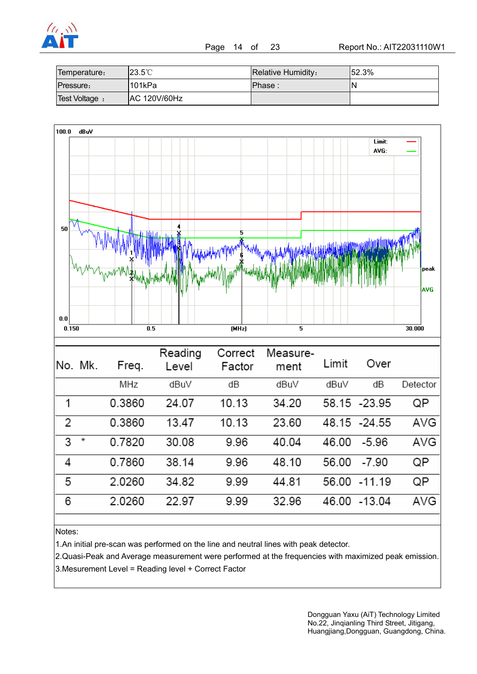

Page 14 of 23 Report No.: AIT22031110W1

| Temperature:          | $23.5^{\circ}$ C    | Relative Humidity: | 152.3% |
|-----------------------|---------------------|--------------------|--------|
| Pressure:             | l101kPa             | IPhase:            | N      |
| <b>Test Voltage</b> : | <b>AC 120V/60Hz</b> |                    |        |



Notes:

6

2.0260

1.An initial pre-scan was performed on the line and neutral lines with peak detector.

22.97

2.Quasi-Peak and Average measurement were performed at the frequencies with maximized peak emission. 3.Mesurement Level = Reading level + Correct Factor

9.99

32.96

46.00 -13.04

AVG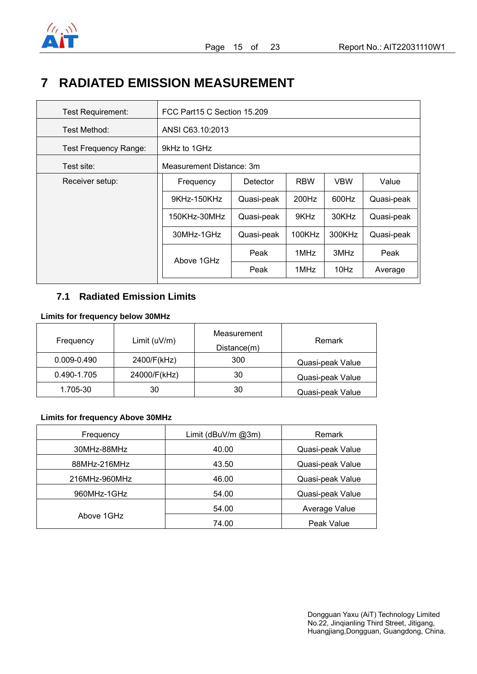

## **7 RADIATED EMISSION MEASUREMENT**

| <b>Test Requirement:</b>     | FCC Part15 C Section 15.209 |            |            |            |            |  |
|------------------------------|-----------------------------|------------|------------|------------|------------|--|
| Test Method:                 | ANSI C63.10:2013            |            |            |            |            |  |
| <b>Test Frequency Range:</b> | 9kHz to 1GHz                |            |            |            |            |  |
| Test site:                   | Measurement Distance: 3m    |            |            |            |            |  |
| Receiver setup:              | Frequency                   | Detector   | <b>RBW</b> | <b>VBW</b> | Value      |  |
|                              | 9KHz-150KHz                 | Quasi-peak | 200Hz      | 600Hz      | Quasi-peak |  |
|                              | 150KHz-30MHz                | Quasi-peak | 9KHz       | 30KHz      | Quasi-peak |  |
|                              | 30MHz-1GHz                  | Quasi-peak | 100KHz     | 300KHz     | Quasi-peak |  |
|                              | Above 1GHz                  | Peak       | 1MHz       | 3MHz       | Peak       |  |
|                              |                             | Peak       | 1MHz       | 10Hz       | Average    |  |

## **7.1 Radiated Emission Limits**

#### **Limits for frequency below 30MHz**

| Frequency       | Limit $(uV/m)$ | Measurement<br>Distance(m) | Remark           |
|-----------------|----------------|----------------------------|------------------|
| $0.009 - 0.490$ | 2400/F(kHz)    | 300                        | Quasi-peak Value |
| 0.490-1.705     | 24000/F(kHz)   | 30                         | Quasi-peak Value |
| 1.705-30        | 30             | 30                         | Quasi-peak Value |

#### **Limits for frequency Above 30MHz**

| Frequency     | Limit ( $d$ BuV/m @3m) | Remark           |
|---------------|------------------------|------------------|
| 30MHz-88MHz   | 40.00                  | Quasi-peak Value |
| 88MHz-216MHz  | 43.50                  | Quasi-peak Value |
| 216MHz-960MHz | 46.00                  | Quasi-peak Value |
| 960MHz-1GHz   | 54.00                  | Quasi-peak Value |
|               | 54.00                  | Average Value    |
| Above 1GHz    | 74.00                  | Peak Value       |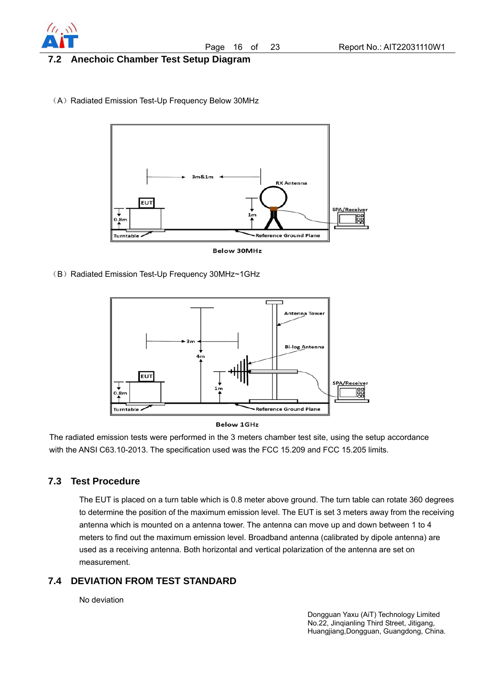

#### **7.2 Anechoic Chamber Test Setup Diagram**

(A) Radiated Emission Test-Up Frequency Below 30MHz



**Below 30MHz** 

(B) Radiated Emission Test-Up Frequency 30MHz~1GHz





The radiated emission tests were performed in the 3 meters chamber test site, using the setup accordance with the ANSI C63.10-2013. The specification used was the FCC 15.209 and FCC 15.205 limits.

#### **7.3 Test Procedure**

The EUT is placed on a turn table which is 0.8 meter above ground. The turn table can rotate 360 degrees to determine the position of the maximum emission level. The EUT is set 3 meters away from the receiving antenna which is mounted on a antenna tower. The antenna can move up and down between 1 to 4 meters to find out the maximum emission level. Broadband antenna (calibrated by dipole antenna) are used as a receiving antenna. Both horizontal and vertical polarization of the antenna are set on measurement.

### **7.4 DEVIATION FROM TEST STANDARD**

No deviation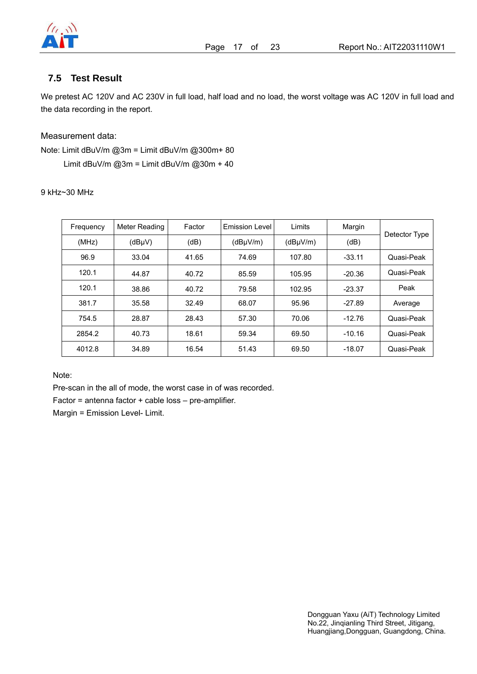

### **7.5 Test Result**

We pretest AC 120V and AC 230V in full load, half load and no load, the worst voltage was AC 120V in full load and the data recording in the report.

#### Measurement data:

Note: Limit dBuV/m @3m = Limit dBuV/m @300m+ 80 Limit dBuV/m  $@3m =$  Limit dBuV/m  $@30m + 40$ 

9 kHz~30 MHz

| Frequency | Meter Reading | Factor | <b>Emission Level</b> | Limits   | Margin   | Detector Type |
|-----------|---------------|--------|-----------------------|----------|----------|---------------|
| (MHz)     | $(dB\mu V)$   | (dB)   | (dBuV/m)              | (dBuV/m) | (dB)     |               |
| 96.9      | 33.04         | 41.65  | 74.69                 | 107.80   | $-33.11$ | Quasi-Peak    |
| 120.1     | 44.87         | 40.72  | 85.59                 | 105.95   | $-20.36$ | Quasi-Peak    |
| 120.1     | 38.86         | 40.72  | 79.58                 | 102.95   | $-23.37$ | Peak          |
| 381.7     | 35.58         | 32.49  | 68.07                 | 95.96    | $-27.89$ | Average       |
| 754.5     | 28.87         | 28.43  | 57.30                 | 70.06    | $-12.76$ | Quasi-Peak    |
| 2854.2    | 40.73         | 18.61  | 59.34                 | 69.50    | $-10.16$ | Quasi-Peak    |
| 4012.8    | 34.89         | 16.54  | 51.43                 | 69.50    | $-18.07$ | Quasi-Peak    |

Note:

Pre-scan in the all of mode, the worst case in of was recorded.

Factor = antenna factor + cable loss – pre-amplifier.

Margin = Emission Level- Limit.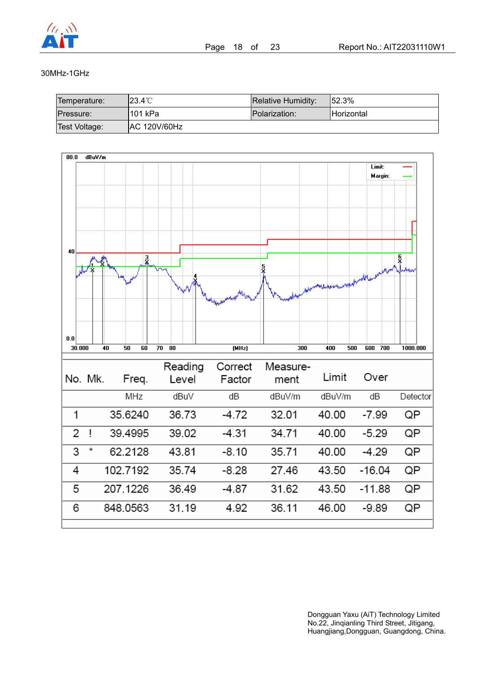

#### 30MHz-1GHz

| Temperature:  | l23.4℃              | Relative Humidity: | 152.3%             |
|---------------|---------------------|--------------------|--------------------|
| Pressure:     | 1101 kPa            | Polarization:      | <b>IHorizontal</b> |
| Test Voltage: | <b>AC 120V/60Hz</b> |                    |                    |

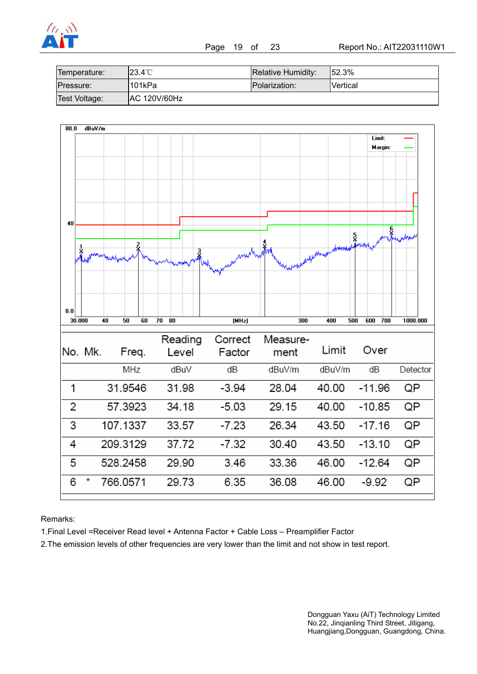

| Temperature:  | l23.4℃              | Relative Humidity: | 152.3%          |
|---------------|---------------------|--------------------|-----------------|
| Pressure:     | 1101kPa             | Polarization:      | <b>Nertical</b> |
| Test Voltage: | <b>AC 120V/60Hz</b> |                    |                 |



Remarks:

1.Final Level =Receiver Read level + Antenna Factor + Cable Loss – Preamplifier Factor

2.The emission levels of other frequencies are very lower than the limit and not show in test report.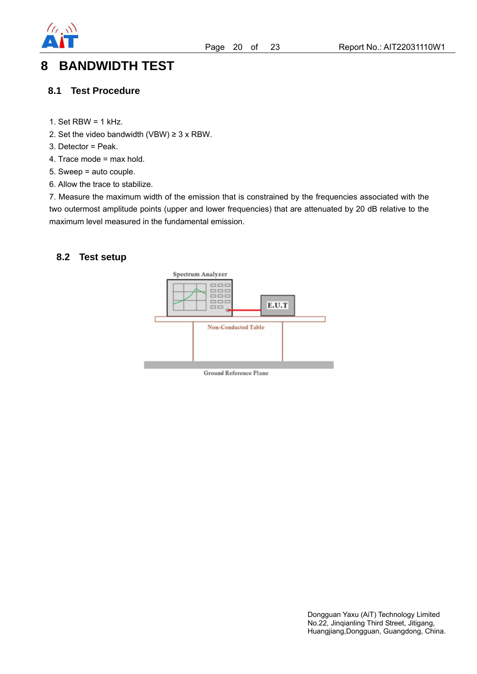

## **8 BANDWIDTH TEST**

#### **8.1 Test Procedure**

- 1. Set  $RBW = 1$  kHz.
- 2. Set the video bandwidth (VBW)  $\geq$  3 x RBW.
- 3. Detector = Peak.
- 4. Trace mode = max hold.
- 5. Sweep = auto couple.
- 6. Allow the trace to stabilize.

7. Measure the maximum width of the emission that is constrained by the frequencies associated with the two outermost amplitude points (upper and lower frequencies) that are attenuated by 20 dB relative to the maximum level measured in the fundamental emission.

#### **8.2 Test setup**

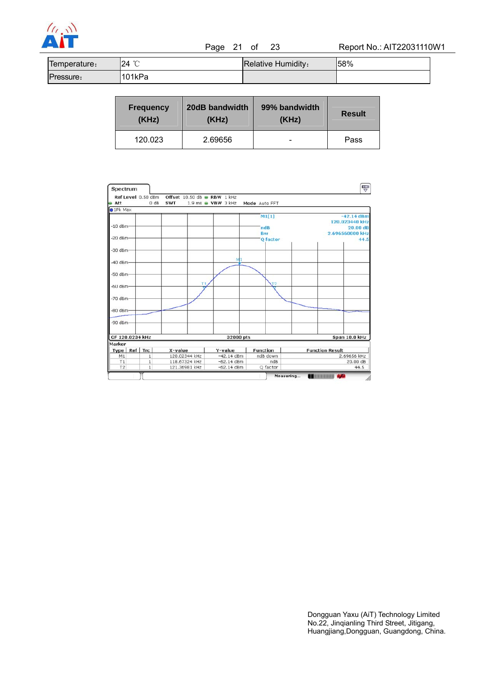

| Temperature: | $\sim$<br>24 | Relative Humidity: | 58% |
|--------------|--------------|--------------------|-----|
| Pressure:    | 101kPa       |                    |     |

| <b>Frequency</b> | 20dB bandwidth | 99% bandwidth | <b>Result</b> |
|------------------|----------------|---------------|---------------|
| (KHz)            | (KHz)          | (KHz)         |               |
| 120.023          | 2.69656        | -             | Pass          |

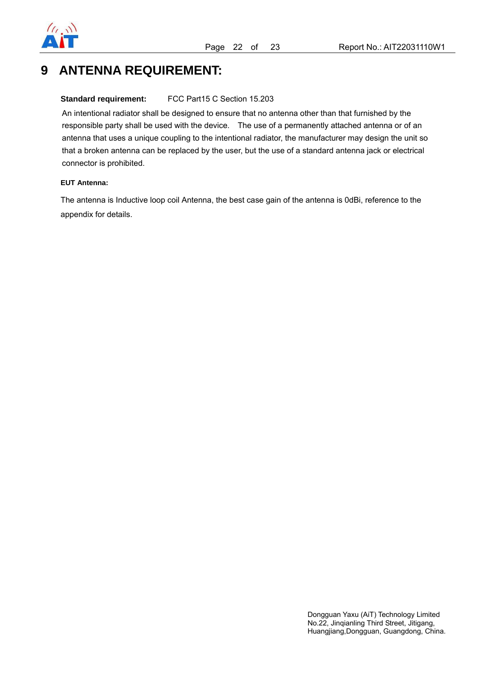

## **9 ANTENNA REQUIREMENT:**

#### **Standard requirement:** FCC Part15 C Section 15.203

An intentional radiator shall be designed to ensure that no antenna other than that furnished by the responsible party shall be used with the device. The use of a permanently attached antenna or of an antenna that uses a unique coupling to the intentional radiator, the manufacturer may design the unit so that a broken antenna can be replaced by the user, but the use of a standard antenna jack or electrical connector is prohibited.

#### **EUT Antenna:**

The antenna is Inductive loop coil Antenna, the best case gain of the antenna is 0dBi, reference to the appendix for details.